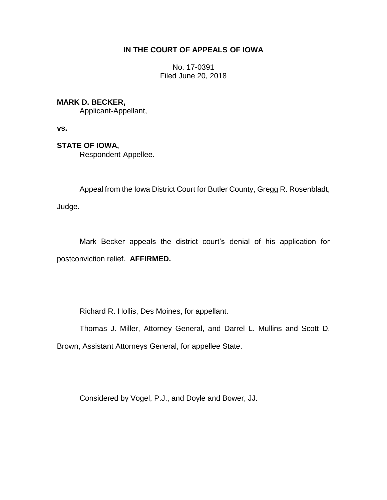## **IN THE COURT OF APPEALS OF IOWA**

No. 17-0391 Filed June 20, 2018

## **MARK D. BECKER,**

Applicant-Appellant,

**vs.**

# **STATE OF IOWA,**

Respondent-Appellee.

Appeal from the Iowa District Court for Butler County, Gregg R. Rosenbladt,

\_\_\_\_\_\_\_\_\_\_\_\_\_\_\_\_\_\_\_\_\_\_\_\_\_\_\_\_\_\_\_\_\_\_\_\_\_\_\_\_\_\_\_\_\_\_\_\_\_\_\_\_\_\_\_\_\_\_\_\_\_\_\_\_

Judge.

Mark Becker appeals the district court's denial of his application for postconviction relief. **AFFIRMED.**

Richard R. Hollis, Des Moines, for appellant.

Thomas J. Miller, Attorney General, and Darrel L. Mullins and Scott D.

Brown, Assistant Attorneys General, for appellee State.

Considered by Vogel, P.J., and Doyle and Bower, JJ.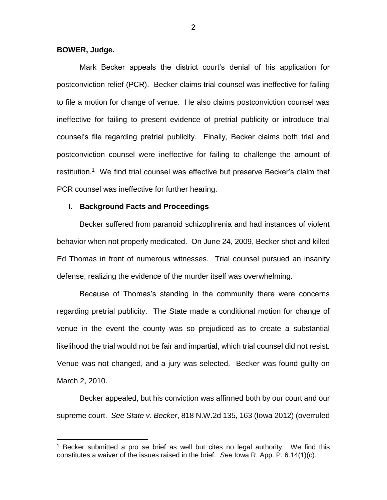#### **BOWER, Judge.**

 $\overline{a}$ 

Mark Becker appeals the district court's denial of his application for postconviction relief (PCR). Becker claims trial counsel was ineffective for failing to file a motion for change of venue. He also claims postconviction counsel was ineffective for failing to present evidence of pretrial publicity or introduce trial counsel's file regarding pretrial publicity. Finally, Becker claims both trial and postconviction counsel were ineffective for failing to challenge the amount of restitution.<sup>1</sup> We find trial counsel was effective but preserve Becker's claim that PCR counsel was ineffective for further hearing.

### **I. Background Facts and Proceedings**

Becker suffered from paranoid schizophrenia and had instances of violent behavior when not properly medicated. On June 24, 2009, Becker shot and killed Ed Thomas in front of numerous witnesses. Trial counsel pursued an insanity defense, realizing the evidence of the murder itself was overwhelming.

Because of Thomas's standing in the community there were concerns regarding pretrial publicity. The State made a conditional motion for change of venue in the event the county was so prejudiced as to create a substantial likelihood the trial would not be fair and impartial, which trial counsel did not resist. Venue was not changed, and a jury was selected. Becker was found guilty on March 2, 2010.

Becker appealed, but his conviction was affirmed both by our court and our supreme court. *See State v. Becker*, 818 N.W.2d 135, 163 (Iowa 2012) (overruled

Becker submitted a pro se brief as well but cites no legal authority. We find this constitutes a waiver of the issues raised in the brief. *See* Iowa R. App. P. 6.14(1)(c).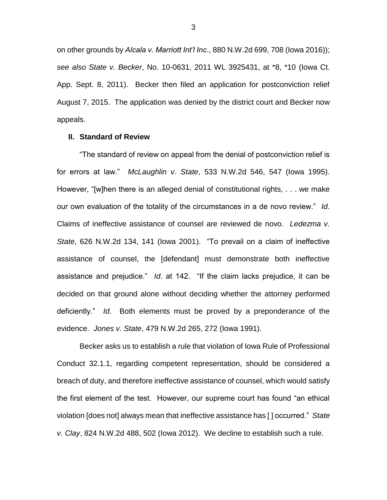on other grounds by *Alcala v. Marriott Int'l Inc*., 880 N.W.2d 699, 708 (Iowa 2016)); *see also State v. Becker*, No. 10-0631, 2011 WL 3925431, at \*8, \*10 (Iowa Ct. App. Sept. 8, 2011). Becker then filed an application for postconviction relief August 7, 2015. The application was denied by the district court and Becker now appeals.

### **II. Standard of Review**

"The standard of review on appeal from the denial of postconviction relief is for errors at law." *McLaughlin v. State*, 533 N.W.2d 546, 547 (Iowa 1995). However, "[w]hen there is an alleged denial of constitutional rights, . . . we make our own evaluation of the totality of the circumstances in a de novo review." *Id*. Claims of ineffective assistance of counsel are reviewed de novo. *Ledezma v. State*, 626 N.W.2d 134, 141 (Iowa 2001). "To prevail on a claim of ineffective assistance of counsel, the [defendant] must demonstrate both ineffective assistance and prejudice." *Id*. at 142. "If the claim lacks prejudice, it can be decided on that ground alone without deciding whether the attorney performed deficiently." *Id*. Both elements must be proved by a preponderance of the evidence. *Jones v. State*, 479 N.W.2d 265, 272 (Iowa 1991).

Becker asks us to establish a rule that violation of Iowa Rule of Professional Conduct 32.1.1, regarding competent representation, should be considered a breach of duty, and therefore ineffective assistance of counsel, which would satisfy the first element of the test. However, our supreme court has found "an ethical violation [does not] always mean that ineffective assistance has [ ] occurred." *State v. Clay*, 824 N.W.2d 488, 502 (Iowa 2012). We decline to establish such a rule.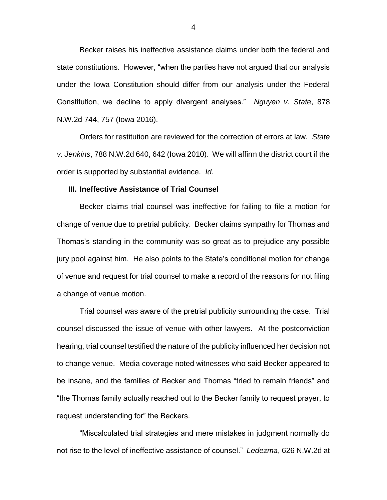Becker raises his ineffective assistance claims under both the federal and state constitutions. However, "when the parties have not argued that our analysis under the Iowa Constitution should differ from our analysis under the Federal Constitution, we decline to apply divergent analyses." *Nguyen v. State*, 878 N.W.2d 744, 757 (Iowa 2016).

Orders for restitution are reviewed for the correction of errors at law. *State v. Jenkins*, 788 N.W.2d 640, 642 (Iowa 2010). We will affirm the district court if the order is supported by substantial evidence. *Id.*

## **III. Ineffective Assistance of Trial Counsel**

Becker claims trial counsel was ineffective for failing to file a motion for change of venue due to pretrial publicity. Becker claims sympathy for Thomas and Thomas's standing in the community was so great as to prejudice any possible jury pool against him. He also points to the State's conditional motion for change of venue and request for trial counsel to make a record of the reasons for not filing a change of venue motion.

Trial counsel was aware of the pretrial publicity surrounding the case. Trial counsel discussed the issue of venue with other lawyers. At the postconviction hearing, trial counsel testified the nature of the publicity influenced her decision not to change venue. Media coverage noted witnesses who said Becker appeared to be insane, and the families of Becker and Thomas "tried to remain friends" and "the Thomas family actually reached out to the Becker family to request prayer, to request understanding for" the Beckers.

"Miscalculated trial strategies and mere mistakes in judgment normally do not rise to the level of ineffective assistance of counsel." *Ledezma*, 626 N.W.2d at